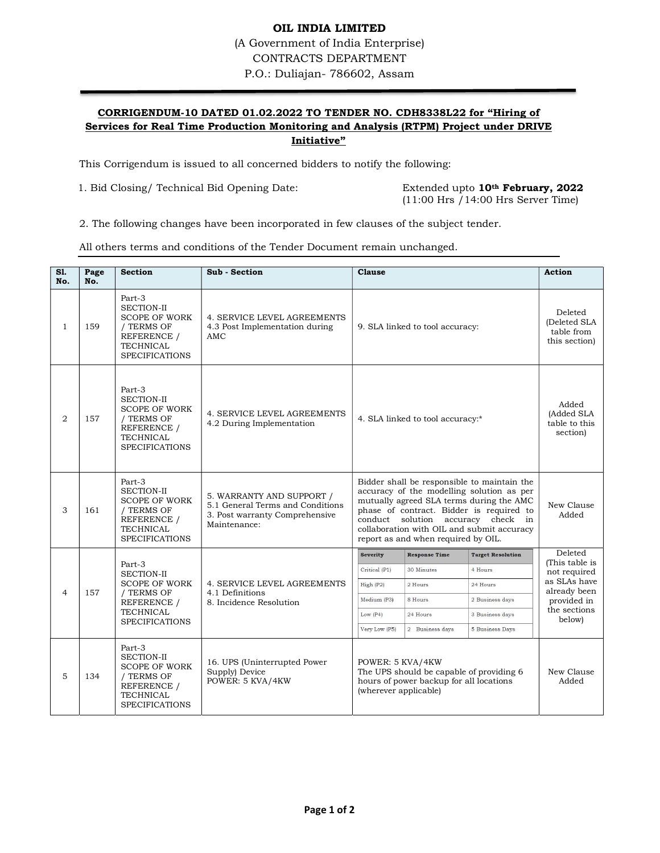## OIL INDIA LIMITED (A Government of India Enterprise) CONTRACTS DEPARTMENT P.O.: Duliajan- 786602, Assam

## CORRIGENDUM-10 DATED 01.02.2022 TO TENDER NO. CDH8338L22 for "Hiring of Services for Real Time Production Monitoring and Analysis (RTPM) Project under DRIVE Initiative"

This Corrigendum is issued to all concerned bidders to notify the following:

1. Bid Closing/ Technical Bid Opening Date: Extended upto 10<sup>th</sup> February, 2022

(11:00 Hrs /14:00 Hrs Server Time)

2. The following changes have been incorporated in few clauses of the subject tender.

All others terms and conditions of the Tender Document remain unchanged.

| S1.<br>No.     | Page<br>No. | <b>Section</b>                                                                                                                | Sub - Section                                                                                                   | <b>Clause</b>                                                                                                                                                                                                                                                                                               | <b>Action</b>                                                                                                                                  |
|----------------|-------------|-------------------------------------------------------------------------------------------------------------------------------|-----------------------------------------------------------------------------------------------------------------|-------------------------------------------------------------------------------------------------------------------------------------------------------------------------------------------------------------------------------------------------------------------------------------------------------------|------------------------------------------------------------------------------------------------------------------------------------------------|
| -1             | 159         | Part-3<br><b>SECTION-II</b><br><b>SCOPE OF WORK</b><br>/ TERMS OF<br>REFERENCE /<br><b>TECHNICAL</b><br><b>SPECIFICATIONS</b> | <b>4. SERVICE LEVEL AGREEMENTS</b><br>4.3 Post Implementation during<br>AMC                                     | 9. SLA linked to tool accuracy:                                                                                                                                                                                                                                                                             | Deleted<br>(Deleted SLA<br>table from<br>this section)                                                                                         |
| $\overline{2}$ | 157         | Part-3<br><b>SECTION-II</b><br><b>SCOPE OF WORK</b><br>/ TERMS OF<br>REFERENCE /<br><b>TECHNICAL</b><br><b>SPECIFICATIONS</b> | 4. SERVICE LEVEL AGREEMENTS<br>4.2 During Implementation                                                        | 4. SLA linked to tool accuracy:*                                                                                                                                                                                                                                                                            | Added<br>(Added SLA<br>table to this<br>section)                                                                                               |
| 3              | 161         | Part-3<br><b>SECTION-II</b><br><b>SCOPE OF WORK</b><br>/ TERMS OF<br>REFERENCE /<br><b>TECHNICAL</b><br><b>SPECIFICATIONS</b> | 5. WARRANTY AND SUPPORT /<br>5.1 General Terms and Conditions<br>3. Post warranty Comprehensive<br>Maintenance: | Bidder shall be responsible to maintain the<br>accuracy of the modelling solution as per<br>mutually agreed SLA terms during the AMC<br>phase of contract. Bidder is required to<br>conduct solution accuracy check in<br>collaboration with OIL and submit accuracy<br>report as and when required by OIL. | New Clause<br>Added                                                                                                                            |
| $\overline{4}$ | 157         | Part-3<br><b>SECTION-II</b><br><b>SCOPE OF WORK</b><br>/ TERMS OF<br>REFERENCE /<br><b>TECHNICAL</b><br><b>SPECIFICATIONS</b> | <b>4. SERVICE LEVEL AGREEMENTS</b><br>4.1 Definitions<br>8. Incidence Resolution                                | <b>Severity</b><br><b>Response Time</b><br>30 Minutes<br>4 Hours<br>Critical (P1)<br>High (P2)<br>2 Hours<br>24 Hours<br>Medium (P3)<br>2 Business days<br>8 Hours<br>3 Business days<br>Low $(P4)$<br>24 Hours<br>Very Low (P5)<br>2 Business days<br><b>5 Business Days</b>                               | Deleted<br><b>Target Resolution</b><br>(This table is<br>not required<br>as SLAs have<br>already been<br>provided in<br>the sections<br>below) |
| 5              | 134         | Part-3<br><b>SECTION-II</b><br><b>SCOPE OF WORK</b><br>/ TERMS OF<br>REFERENCE /<br><b>TECHNICAL</b><br><b>SPECIFICATIONS</b> | 16. UPS (Uninterrupted Power<br>Supply) Device<br>POWER: 5 KVA/4KW                                              | POWER: 5 KVA/4KW<br>The UPS should be capable of providing 6<br>hours of power backup for all locations<br>(wherever applicable)                                                                                                                                                                            | New Clause<br>Added                                                                                                                            |